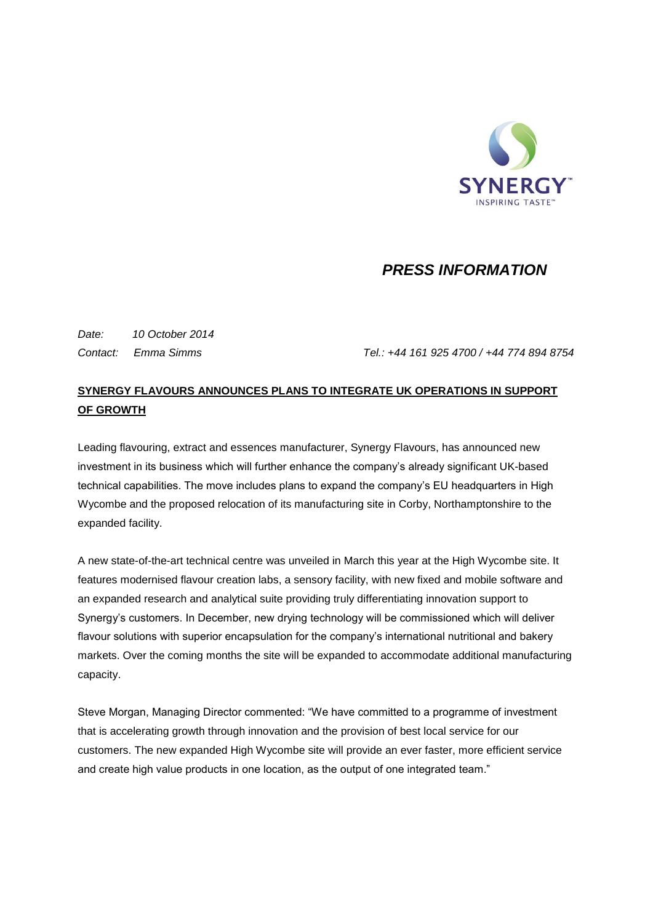

## *PRESS INFORMATION*

*Date: 10 October 2014*

*Contact: Emma Simms Tel.: +44 161 925 4700 / +44 774 894 8754*

## **SYNERGY FLAVOURS ANNOUNCES PLANS TO INTEGRATE UK OPERATIONS IN SUPPORT OF GROWTH**

Leading flavouring, extract and essences manufacturer, Synergy Flavours, has announced new investment in its business which will further enhance the company's already significant UK-based technical capabilities. The move includes plans to expand the company's EU headquarters in High Wycombe and the proposed relocation of its manufacturing site in Corby, Northamptonshire to the expanded facility.

A new state-of-the-art technical centre was unveiled in March this year at the High Wycombe site. It features modernised flavour creation labs, a sensory facility, with new fixed and mobile software and an expanded research and analytical suite providing truly differentiating innovation support to Synergy's customers. In December, new drying technology will be commissioned which will deliver flavour solutions with superior encapsulation for the company's international nutritional and bakery markets. Over the coming months the site will be expanded to accommodate additional manufacturing capacity.

Steve Morgan, Managing Director commented: "We have committed to a programme of investment that is accelerating growth through innovation and the provision of best local service for our customers. The new expanded High Wycombe site will provide an ever faster, more efficient service and create high value products in one location, as the output of one integrated team."